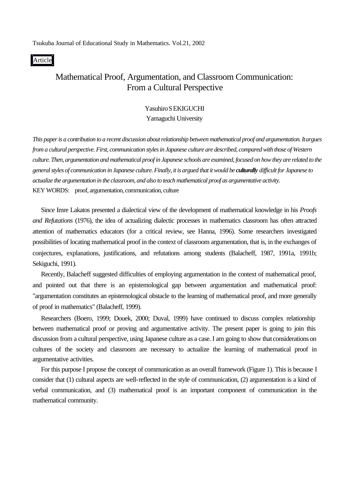Tsukuba Journal of Educational Study in Mathematics. Vol.21, 2002

#### Article

# Mathematical Proof, Argumentation, and Classroom Communication: From a Cultural Perspective

### Yasuhiro SEKIGUCHI

Yamaguchi University

*This paper is a contribution to a recent discussion about relationship between mathematical proof and argumentation. It argues from a cultural perspective. First, communication styles in Japanese culture are described, compared with those of Western culture. Then, argumentation and mathematical proof in Japanese schools are examined, focused on how they are related to the general styles of communication in Japanese culture. Finally, it is argued that it would be culturally difficult for Japanese to actualize the argumentation in the classroom, and also to teach mathematical proof as argumentative activity.* KEY WORDS: proof, argumentation, communication, culture

Since Imre Lakatos presented a dialectical view of the development of mathematical knowledge in his *Proofs and Refutations* (1976), the idea of actualizing dialectic processes in mathematics classroom has often attracted attention of mathematics educators (for a critical review, see Hanna, 1996). Some researchers investigated possibilities of locating mathematical proof in the context of classroom argumentation, that is, in the exchanges of conjectures, explanations, justifications, and refutations among students (Balacheff, 1987, 1991a, 1991b; Sekiguchi, 1991).

Recently, Balacheff suggested difficulties of employing argumentation in the context of mathematical proof, and pointed out that there is an epistemological gap between argumentation and mathematical proof: "argumentation constitutes an epistemological obstacle to the learning of mathematical proof, and more generally of proof in mathematics" (Balacheff, 1999).

Researchers (Boero, 1999; Douek, 2000; Duval, 1999) have continued to discuss complex relationship between mathematical proof or proving and argumentative activity. The present paper is going to join this discussion from a cultural perspective, using Japanese culture as a case. I am going to show that considerations on cultures of the society and classroom are necessary to actualize the learning of mathematical proof in argumentative activities.

For this purpose I propose the concept of communication as an overall framework (Figure 1). This is because I consider that (1) cultural aspects are well-reflected in the style of communication, (2) argumentation is a kind of verbal communication, and (3) mathematical proof is an important component of communication in the mathematical community.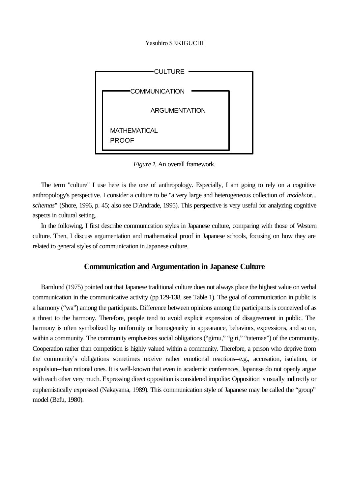

*Figure 1.* An overall framework.

The term "culture" I use here is the one of anthropology. Especially, I am going to rely on a cognitive anthropology's perspective. I consider a culture to be "a very large and heterogeneous collection of *models* or... *schemas***"** (Shore, 1996, p. 45; also see D'Andrade, 1995). This perspective is very useful for analyzing cognitive aspects in cultural setting.

In the following, I first describe communication styles in Japanese culture, comparing with those of Western culture. Then, I discuss argumentation and mathematical proof in Japanese schools, focusing on how they are related to general styles of communication in Japanese culture.

### **Communication and Argumentation in Japanese Culture**

Barnlund (1975) pointed out that Japanese traditional culture does not always place the highest value on verbal communication in the communicative activity (pp.129-138, see Table 1). The goal of communication in public is a harmony ("wa") among the participants. Difference between opinions among the participants is conceived of as a threat to the harmony. Therefore, people tend to avoid explicit expression of disagreement in public. The harmony is often symbolized by uniformity or homogeneity in appearance, behaviors, expressions, and so on, within a community. The community emphasizes social obligations ("gimu," "giri," "tatemae") of the community. Cooperation rather than competition is highly valued within a community. Therefore, a person who deprive from the community's obligations sometimes receive rather emotional reactions--e.g., accusation, isolation, or expulsion--than rational ones. It is well-known that even in academic conferences, Japanese do not openly argue with each other very much. Expressing direct opposition is considered impolite: Opposition is usually indirectly or euphemistically expressed (Nakayama, 1989). This communication style of Japanese may be called the "group" model (Befu, 1980).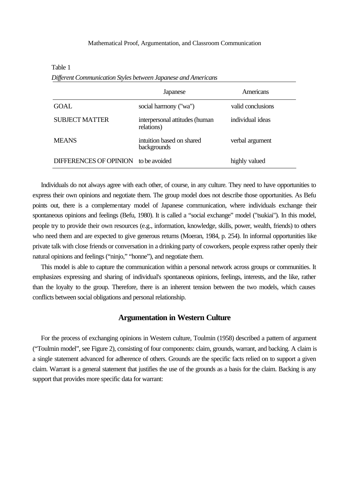### Mathematical Proof, Argumentation, and Classroom Communication

| рудетен сонтинисанон эгук эсепчествиранся анатинстианы | Japanese                                     | Americans         |
|--------------------------------------------------------|----------------------------------------------|-------------------|
| GOAL                                                   | social harmony ("wa")                        | valid conclusions |
| <b>SUBJECT MATTER</b>                                  | interpersonal attitudes (human<br>relations) | individual ideas  |
| <b>MEANS</b>                                           | intuition based on shared<br>backgrounds     | verbal argument   |
| DIFFERENCES OF OPINION to be avoided                   |                                              | highly valued     |

 $\overline{a}$ 

*Different Communication Styles between Japanese and Americans*

Individuals do not always agree with each other, of course, in any culture. They need to have opportunities to express their own opinions and negotiate them. The group model does not describe those opportunities. As Befu points out, there is a complementary model of Japanese communication, where individuals exchange their spontaneous opinions and feelings (Befu, 1980). It is called a "social exchange" model ("tsukiai"). In this model, people try to provide their own resources (e.g., information, knowledge, skills, power, wealth, friends) to others who need them and are expected to give generous returns (Moeran, 1984, p. 254). In informal opportunities like private talk with close friends or conversation in a drinking party of coworkers, people express rather openly their natural opinions and feelings ("ninjo," "honne"), and negotiate them.

This model is able to capture the communication within a personal network across groups or communities. It emphasizes expressing and sharing of individual's spontaneous opinions, feelings, interests, and the like, rather than the loyalty to the group. Therefore, there is an inherent tension between the two models, which causes conflicts between social obligations and personal relationship.

### **Argumentation in Western Culture**

For the process of exchanging opinions in Western culture, Toulmin (1958) described a pattern of argument ("Toulmin model", see Figure 2), consisting of four components: claim, grounds, warrant, and backing. A claim is a single statement advanced for adherence of others. Grounds are the specific facts relied on to support a given claim. Warrant is a general statement that justifies the use of the grounds as a basis for the claim. Backing is any support that provides more specific data for warrant: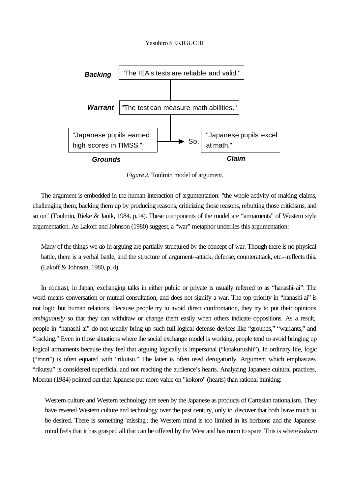

*Figure2.* Toulmin model of argument.

The argument is embedded in the human interaction of argumentation: "the whole activity of making claims, challenging them, backing them up by producing reasons, criticizing those reasons, rebutting those criticisms, and so on" (Toulmin, Rieke & Janik, 1984, p.14). These components of the model are "armaments" of Western style argumentation. As Lakoff and Johnson (1980) suggest, a "war" metaphor underlies this argumentation:

Many of the things we *do* in arguing are partially structured by the concept of war. Though there is no physical battle, there is a verbal battle, and the structure of argument--attack, defense, counterattack, etc.--reflects this. (Lakoff & Johnson, 1980, p. 4)

In contrast, in Japan, exchanging talks in either public or private is usually referred to as "hanashi-ai": The word means conversation or mutual consultation, and does not signify a war. The top priority in "hanashi-ai" is not logic but human relations. Because people try to avoid direct confrontation, they try to put their opinions *ambiguously* so that they can withdraw or change them easily when others indicate oppositions. As a result, people in "hanashi-ai" do not usually bring up such full logical defense devices like "grounds," "warrants," and "backing." Even in those situations where the social exchange model is working, people tend to avoid bringing up logical armaments because they feel that arguing logically is impersonal ("katakurushii"). In ordinary life, logic ("ronri") is often equated with "rikutsu." The latter is often used derogatorily. Argument which emphasizes "rikutsu" is considered superficial and not reaching the audience's hearts. Analyzing Japanese cultural practices, Moeran (1984) pointed out that Japanese put more value on "kokoro" (hearts) than rational thinking:

Western culture and Western technology are seen by the Japanese as products of Cartesian rationalism. They have revered Western culture and technology over the past century, only to discover that both leave much to be desired. There is something 'missing'; the Western mind is too limited in its horizons and the Japanese mind feels that it has grasped all that can be offered by the West and has room to spare. This is where *kokoro*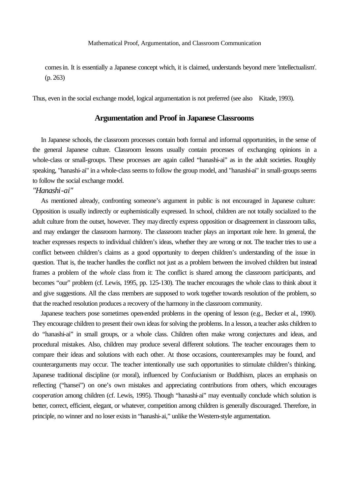comes in. It is essentially a Japanese concept which, it is claimed, understands beyond mere 'intellectualism'. (p. 263)

Thus, even in the social exchange model, logical argumentation is not preferred (see also Kitade, 1993).

### **Argumentation and Proof in Japanese Classrooms**

In Japanese schools, the classroom processes contain both formal and informal opportunities, in the sense of the general Japanese culture. Classroom lessons usually contain processes of exchanging opinions in a whole-class or small-groups. These processes are again called "hanashi-ai" as in the adult societies. Roughly speaking, "hanashi-ai" in a whole-class seems to follow the group model, and "hanashi-ai" in small-groups seems to follow the social exchange model.

### *"Hanashi-ai"*

As mentioned already, confronting someone's argument in public is not encouraged in Japanese culture: Opposition is usually indirectly or euphemistically expressed. In school, children are not totally socialized to the adult culture from the outset, however. They may directly express opposition or disagreement in classroom talks, and may endanger the classroom harmony. The classroom teacher plays an important role here. In general, the teacher expresses respects to individual children's ideas, whether they are wrong or not. The teacher tries to use a conflict between children's claims as a good opportunity to deepen children's understanding of the issue in question. That is, the teacher handles the conflict not just as a problem between the involved children but instead frames a problem of the *whole* class from it: The conflict is shared among the classroom participants, and becomes "our" problem (cf. Lewis, 1995, pp. 125-130). The teacher encourages the whole class to think about it and give suggestions. All the class members are supposed to work together towards resolution of the problem, so that the reached resolution produces a recovery of the harmony in the classroom community.

Japanese teachers pose sometimes open-ended problems in the opening of lesson (e.g., Becker et al., 1990). They encourage children to present their own ideas for solving the problems. In a lesson, a teacher asks children to do "hanashi-ai" in small groups, or a whole class. Children often make wrong conjectures and ideas, and procedural mistakes. Also, children may produce several different solutions. The teacher encourages them to compare their ideas and solutions with each other. At those occasions, counterexamples may be found, and counterarguments may occur. The teacher intentionally use such opportunities to stimulate children's thinking. Japanese traditional discipline (or moral), influenced by Confucianism or Buddhism, places an emphasis on reflecting ("hansei") on one's own mistakes and appreciating contributions from others, which encourages *cooperation* among children (cf. Lewis, 1995). Though "hanashi-ai" may eventually conclude which solution is better, correct, efficient, elegant, or whatever, competition among children is generally discouraged. Therefore, in principle, no winner and no loser exists in "hanashi-ai," unlike the Western-style argumentation.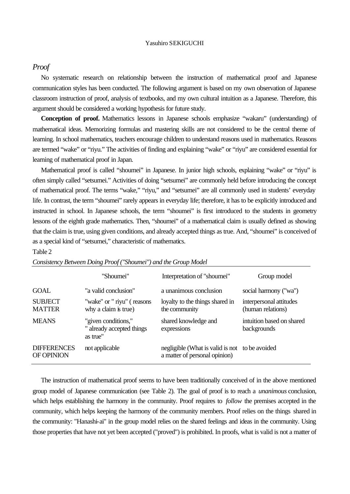### *Proof*

No systematic research on relationship between the instruction of mathematical proof and Japanese communication styles has been conducted. The following argument is based on my own observation of Japanese classroom instruction of proof, analysis of textbooks, and my own cultural intuition as a Japanese. Therefore, this argument should be considered a working hypothesis for future study.

**Conception of proof.** Mathematics lessons in Japanese schools emphasize "wakaru" (understanding) of mathematical ideas. Memorizing formulas and mastering skills are not considered to be the central theme of learning. In school mathematics, teachers encourage children to understand reasons used in mathematics. Reasons are termed "wake" or "riyu." The activities of finding and explaining "wake" or "riyu" are considered essential for learning of mathematical proof in Japan.

Mathematical proof is called "shoumei" in Japanese. In junior high schools, explaining "wake" or "riyu" is often simply called "setsumei." Activities of doing "setsumei" are commonly held before introducing the concept of mathematical proof. The terms "wake," "riyu," and "setsumei" are all commonly used in students' everyday life. In contrast, the term "shoumei" rarely appears in everyday life; therefore, it has to be explicitly introduced and instructed in school. In Japanese schools, the term "shoumei" is first introduced to the students in geometry lessons of the eighth grade mathematics. Then, "shoumei" of a mathematical claim is usually defined as showing that the claim is true, using given conditions, and already accepted things as true. And, "shoumei" is conceived of as a special kind of "setsumei," characteristic of mathematics.

#### Table 2

|                                  | "Shoumei"                                                    | Interpretation of "shoumei"                                                     | Group model                                  |
|----------------------------------|--------------------------------------------------------------|---------------------------------------------------------------------------------|----------------------------------------------|
| GOAL                             | "a valid conclusion"                                         | a unanimous conclusion                                                          | social harmony ("wa")                        |
| <b>SUBJECT</b><br><b>MATTER</b>  | "wake" or " riyu" (reasons<br>why a claim is true)           | loyalty to the things shared in<br>the community                                | interpersonal attitudes<br>(human relations) |
| <b>MEANS</b>                     | "given conditions,"<br>" already accepted things<br>as true" | shared knowledge and<br>expressions                                             | intuition based on shared<br>backgrounds     |
| <b>DIFFERENCES</b><br>OF OPINION | not applicable                                               | negligible (What is valid is not to be avoided<br>a matter of personal opinion) |                                              |

|  |  |  | Consistency Between Doing Proof ("Shoumei") and the Group Model |  |
|--|--|--|-----------------------------------------------------------------|--|
|  |  |  |                                                                 |  |

The instruction of mathematical proof seems to have been traditionally conceived of in the above mentioned group model of Japanese communication (see Table 2). The goal of proof is to reach a *unanimous* conclusion, which helps establishing the harmony in the community. Proof requires to *follow* the premises accepted in the community, which helps keeping the harmony of the community members. Proof relies on the things shared in the community: "Hanashi-ai" in the group model relies on the shared feelings and ideas in the community. Using those properties that have not yet been accepted ("proved") is prohibited. In proofs, what is valid is not a matter of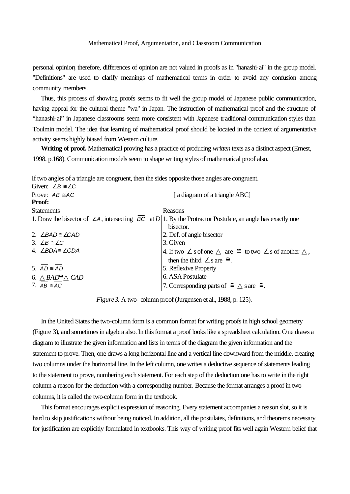personal opinion; therefore, differences of opinion are not valued in proofs as in "hanashi-ai" in the group model. "Definitions" are used to clarify meanings of mathematical terms in order to avoid any confusion among community members.

Thus, this process of showing proofs seems to fit well the group model of Japanese public communication, having appeal for the cultural theme "wa" in Japan. The instruction of mathematical proof and the structure of "hanashi-ai" in Japanese classrooms seem more consistent with Japanese traditional communication styles than Toulmin model. The idea that learning of mathematical proof should be located in the context of argumentative activity seems highly biased from Western culture.

**Writing of proof.** Mathematical proving has a practice of producing *written* texts as a distinct aspect (Ernest, 1998, p.168). Communication models seem to shape writing styles of mathematical proof also.

If two angles of a triangle are congruent, then the sides opposite those angles are congruent.

| Given: $\angle B \cong \angle C$     |                                                                                                                    |
|--------------------------------------|--------------------------------------------------------------------------------------------------------------------|
| Prove: $AB \cong AC$                 | [a diagram of a triangle ABC]                                                                                      |
| <b>Proof:</b>                        |                                                                                                                    |
| <b>Statements</b>                    | Reasons                                                                                                            |
|                                      | 1. Draw the bisector of $\angle A$ , intersecting BC at D 1. By the Protractor Postulate, an angle has exactly one |
|                                      | bisector.                                                                                                          |
| 2. $\angle BAD \cong \angle CAD$     | 2. Def. of angle bisector                                                                                          |
| 3. $\angle B \cong \angle C$         | 3. Given                                                                                                           |
| 4. $\angle$ BDA $\cong$ $\angle$ CDA | 4. If two s of one<br>s of another<br>are $\cong$ to two                                                           |
|                                      | then the third s are $\cong$ .                                                                                     |
| 5. $AD \cong AD$                     | 5. Reflexive Property                                                                                              |
| 6. $BAD\cong$<br>CAD                 | 6. ASA Postulate                                                                                                   |
| 7. $AB \cong AC$                     | 7. Corresponding parts of $\cong$ sare $\cong$ .                                                                   |

*Figure 3.* A two- column proof (Jurgensen et al., 1988, p. 125).

In the United States the two-column form is a common format for writing proofs in high school geometry (Figure 3), and sometimes in algebra also. In this format a proof looks like a spreadsheet calculation. One draws a diagram to illustrate the given information and lists in terms of the diagram the given information and the statement to prove. Then, one draws a long horizontal line and a vertical line downward from the middle, creating two columns under the horizontal line. In the left column, one writes a deductive sequence of statements leading to the statement to prove, numbering each statement. For each step of the deduction one has to write in the right column a reason for the deduction with a corresponding number. Because the format arranges a proof in two columns, it is called the two-column form in the textbook.

This format encourages explicit expression of reasoning. Every statement accompanies a reason slot, so it is hard to skip justifications without being noticed. In addition, all the postulates, definitions, and theorems necessary for justification are explicitly formulated in textbooks. This way of writing proof fits well again Western belief that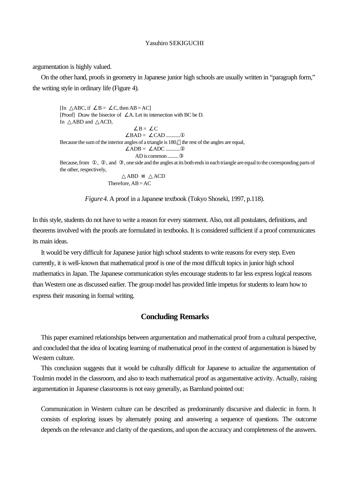argumentation is highly valued.

On the other hand, proofs in geometry in Japanese junior high schools are usually written in "paragraph form," the writing style in ordinary life (Figure 4).

```
[\text{In} \quad ABC, \text{if} \quad B = \quad C, \text{then } AB = AC][Proof] Draw the bisector of A. Let its intersection with BC be D.
In ABD and ACD,
                                      B = CBAD = CAD ............
Because the sum of the interior angles of a triangle is 180, the rest of the angles are equal, 
                                 ADB = ADC ............
                                    AD is common .........
Because, from , , and , one side and the angles at its both ends in each triangle are equal to the corresponding parts of
the other, respectively,
                               ABD ACD
                       Therefore, AB = AC
```
*Figure4.* A proof in a Japanese textbook (Tokyo Shoseki, 1997, p.118).

In this style, students do not have to write a reason for every statement. Also, not all postulates, definitions, and theorems involved with the proofs are formulated in textbooks. It is considered sufficient if a proof communicates its main ideas.

It would be very difficult for Japanese junior high school students to write reasons for every step. Even currently, it is well-known that mathematical proof is one of the most difficult topics in junior high school mathematics in Japan. The Japanese communication styles encourage students to far less express logical reasons than Western one as discussed earlier. The group model has provided little impetus for students to learn how to express their reasoning in formal writing.

### **Concluding Remarks**

This paper examined relationships between argumentation and mathematical proof from a cultural perspective, and concluded that the idea of locating learning of mathematical proof in the context of argumentation is biased by Western culture.

This conclusion suggests that it would be culturally difficult for Japanese to actualize the argumentation of Toulmin model in the classroom, and also to teach mathematical proof as argumentative activity. Actually, raising argumentation in Japanese classrooms is not easy generally, as Barnlund pointed out:

Communication in Western culture can be described as predominantly discursive and dialectic in form. It consists of exploring issues by alternately posing and answering a sequence of questions. The outcome depends on the relevance and clarity of the questions, and upon the accuracy and completeness of the answers.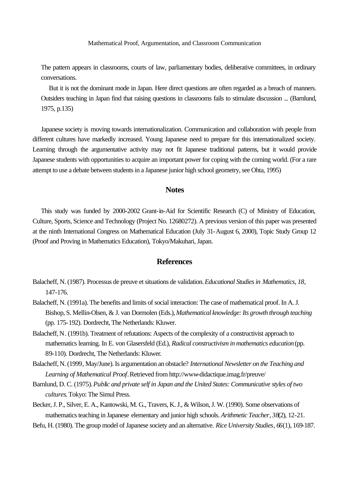Mathematical Proof, Argumentation, and Classroom Communication

The pattern appears in classrooms, courts of law, parliamentary bodies, deliberative committees, in ordinary conversations.

But it is not the dominant mode in Japan. Here direct questions are often regarded as a breach of manners. Outsiders teaching in Japan find that raising questions in classrooms fails to stimulate discussion ... (Barnlund, 1975, p.135)

Japanese society is moving towards internationalization. Communication and collaboration with people from different cultures have markedly increased. Young Japanese need to prepare for this internationalized society. Learning through the argumentative activity may not fit Japanese traditional patterns, but it would provide Japanese students with opportunities to acquire an important power for coping with the coming world. (For a rare attempt to use a debate between students in a Japanese junior high school geometry, see Ohta, 1995)

## **Notes**

This study was funded by 2000-2002 Grant-in-Aid for Scientific Research (C) of Ministry of Education, Culture, Sports, Science and Technology (Project No. 12680272). A previous version of this paper was presented at the ninth International Congress on Mathematical Education (July 31-August 6, 2000), Topic Study Group 12 (Proof and Proving in Mathematics Education), Tokyo/Makuhari, Japan.

### **References**

- Balacheff, N. (1987). Processus de preuve et situations de validation. *Educational Studies in Mathematics*, *18*, 147-176.
- Balacheff, N. (1991a). The benefits and limits of social interaction: The case of mathematical proof. In A. J. Bishop, S. Mellin-Olsen, & J. van Dormolen (Eds.), *Mathematical knowledge: Its growth through teaching* (pp. 175-192). Dordrecht, The Netherlands: Kluwer.
- Balacheff, N. (1991b). Treatment of refutations: Aspects of the complexity of a constructivist approach to mathematics learning. In E. von Glasersfeld (Ed.), *Radical constructivism in mathematics education* (pp. 89-110). Dordrecht, The Netherlands: Kluwer.
- Balacheff, N. (1999, May/June). Is argumentation an obstacle? *International Newsletter on the Teaching and Learning of Mathematical Proof*. Retrieved from http://www-didactique.imag.fr/preuve/
- Barnlund, D. C. (1975). *Public and private self in Japan and the United States: Communicative styles of two cultures*. Tokyo: The Simul Press.
- Becker, J. P., Silver, E. A., Kantowski, M. G., Travers, K. J., & Wilson, J. W. (1990). Some observations of mathematics teaching in Japanese elementary and junior high schools. *Arithmetic Teacher*, *38*(2), 12-21.
- Befu, H. (1980). The group model of Japanese society and an alternative. *Rice University Studies*, *66*(1), 169-187.